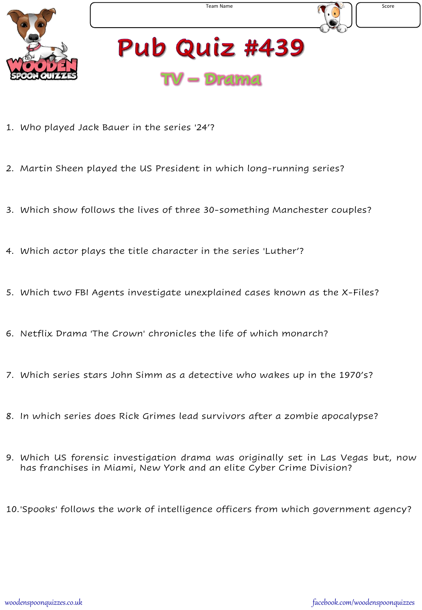

- 1. Who played Jack Bauer in the series '24'?
- 2. Martin Sheen played the US President in which long-running series?
- 3. Which show follows the lives of three 30-something Manchester couples?
- 4. Which actor plays the title character in the series 'Luther'?
- 5. Which two FBI Agents investigate unexplained cases known as the X-Files?
- 6. Netflix Drama 'The Crown' chronicles the life of which monarch?
- 7. Which series stars John Simm as a detective who wakes up in the 1970's?
- 8. In which series does Rick Grimes lead survivors after a zombie apocalypse?
- 9. Which US forensic investigation drama was originally set in Las Vegas but, now has franchises in Miami, New York and an elite Cyber Crime Division?
- 10.'Spooks' follows the work of intelligence officers from which government agency?